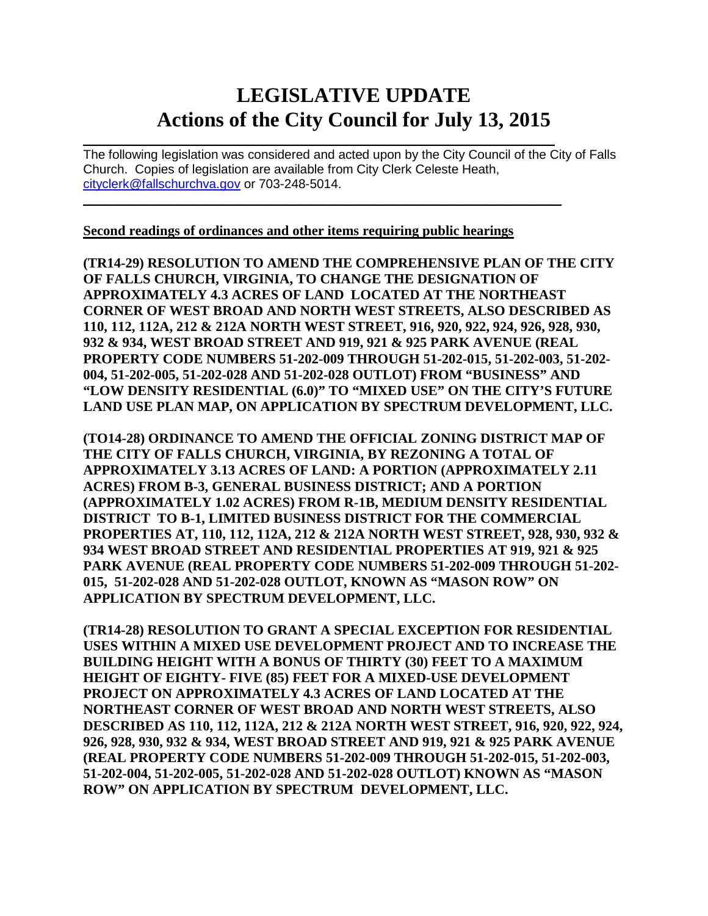# **LEGISLATIVE UPDATE Actions of the City Council for July 13, 2015**

 $\mathcal{L}_\text{max}$  and  $\mathcal{L}_\text{max}$  and  $\mathcal{L}_\text{max}$  and  $\mathcal{L}_\text{max}$  and  $\mathcal{L}_\text{max}$  and  $\mathcal{L}_\text{max}$ The following legislation was considered and acted upon by the City Council of the City of Falls Church. Copies of legislation are available from City Clerk Celeste Heath, [cityclerk@fallschurchva.gov](mailto:cityclerk@fallschurchva.gov) or 703-248-5014.  $\mathcal{L}_\text{max}$  , and the contract of the contract of the contract of the contract of the contract of the contract of

**Second readings of ordinances and other items requiring public hearings**

**(TR14-29) RESOLUTION TO AMEND THE COMPREHENSIVE PLAN OF THE CITY OF FALLS CHURCH, VIRGINIA, TO CHANGE THE DESIGNATION OF APPROXIMATELY 4.3 ACRES OF LAND LOCATED AT THE NORTHEAST CORNER OF WEST BROAD AND NORTH WEST STREETS, ALSO DESCRIBED AS 110, 112, 112A, 212 & 212A NORTH WEST STREET, 916, 920, 922, 924, 926, 928, 930, 932 & 934, WEST BROAD STREET AND 919, 921 & 925 PARK AVENUE (REAL PROPERTY CODE NUMBERS 51-202-009 THROUGH 51-202-015, 51-202-003, 51-202- 004, 51-202-005, 51-202-028 AND 51-202-028 OUTLOT) FROM "BUSINESS" AND "LOW DENSITY RESIDENTIAL (6.0)" TO "MIXED USE" ON THE CITY'S FUTURE LAND USE PLAN MAP, ON APPLICATION BY SPECTRUM DEVELOPMENT, LLC.** 

**(TO14-28) ORDINANCE TO AMEND THE OFFICIAL ZONING DISTRICT MAP OF THE CITY OF FALLS CHURCH, VIRGINIA, BY REZONING A TOTAL OF APPROXIMATELY 3.13 ACRES OF LAND: A PORTION (APPROXIMATELY 2.11 ACRES) FROM B-3, GENERAL BUSINESS DISTRICT; AND A PORTION (APPROXIMATELY 1.02 ACRES) FROM R-1B, MEDIUM DENSITY RESIDENTIAL DISTRICT TO B-1, LIMITED BUSINESS DISTRICT FOR THE COMMERCIAL PROPERTIES AT, 110, 112, 112A, 212 & 212A NORTH WEST STREET, 928, 930, 932 & 934 WEST BROAD STREET AND RESIDENTIAL PROPERTIES AT 919, 921 & 925 PARK AVENUE (REAL PROPERTY CODE NUMBERS 51-202-009 THROUGH 51-202- 015, 51-202-028 AND 51-202-028 OUTLOT, KNOWN AS "MASON ROW" ON APPLICATION BY SPECTRUM DEVELOPMENT, LLC.** 

**(TR14-28) RESOLUTION TO GRANT A SPECIAL EXCEPTION FOR RESIDENTIAL USES WITHIN A MIXED USE DEVELOPMENT PROJECT AND TO INCREASE THE BUILDING HEIGHT WITH A BONUS OF THIRTY (30) FEET TO A MAXIMUM HEIGHT OF EIGHTY- FIVE (85) FEET FOR A MIXED-USE DEVELOPMENT PROJECT ON APPROXIMATELY 4.3 ACRES OF LAND LOCATED AT THE NORTHEAST CORNER OF WEST BROAD AND NORTH WEST STREETS, ALSO DESCRIBED AS 110, 112, 112A, 212 & 212A NORTH WEST STREET, 916, 920, 922, 924, 926, 928, 930, 932 & 934, WEST BROAD STREET AND 919, 921 & 925 PARK AVENUE (REAL PROPERTY CODE NUMBERS 51-202-009 THROUGH 51-202-015, 51-202-003, 51-202-004, 51-202-005, 51-202-028 AND 51-202-028 OUTLOT) KNOWN AS "MASON ROW" ON APPLICATION BY SPECTRUM DEVELOPMENT, LLC.**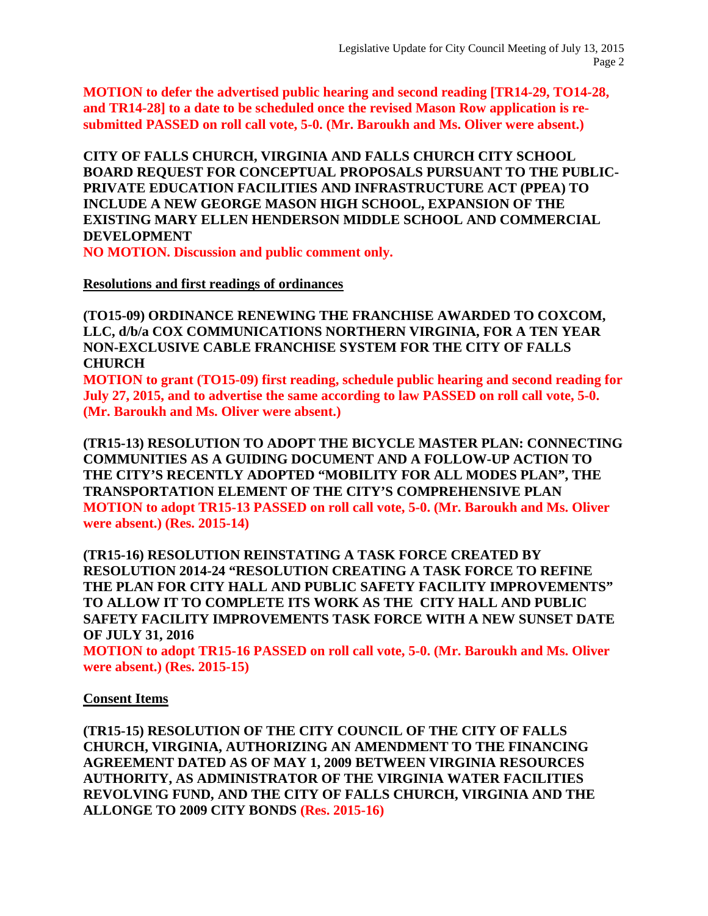**MOTION to defer the advertised public hearing and second reading [TR14-29, TO14-28, and TR14-28] to a date to be scheduled once the revised Mason Row application is resubmitted PASSED on roll call vote, 5-0. (Mr. Baroukh and Ms. Oliver were absent.)**

**CITY OF FALLS CHURCH, VIRGINIA AND FALLS CHURCH CITY SCHOOL BOARD REQUEST FOR CONCEPTUAL PROPOSALS PURSUANT TO THE PUBLIC-PRIVATE EDUCATION FACILITIES AND INFRASTRUCTURE ACT (PPEA) TO INCLUDE A NEW GEORGE MASON HIGH SCHOOL, EXPANSION OF THE EXISTING MARY ELLEN HENDERSON MIDDLE SCHOOL AND COMMERCIAL DEVELOPMENT** 

**NO MOTION. Discussion and public comment only.**

### **Resolutions and first readings of ordinances**

**(TO15-09) ORDINANCE RENEWING THE FRANCHISE AWARDED TO COXCOM, LLC, d/b/a COX COMMUNICATIONS NORTHERN VIRGINIA, FOR A TEN YEAR NON-EXCLUSIVE CABLE FRANCHISE SYSTEM FOR THE CITY OF FALLS CHURCH**

**MOTION to grant (TO15-09) first reading, schedule public hearing and second reading for July 27, 2015, and to advertise the same according to law PASSED on roll call vote, 5-0. (Mr. Baroukh and Ms. Oliver were absent.)**

**(TR15-13) RESOLUTION TO ADOPT THE BICYCLE MASTER PLAN: CONNECTING COMMUNITIES AS A GUIDING DOCUMENT AND A FOLLOW-UP ACTION TO THE CITY'S RECENTLY ADOPTED "MOBILITY FOR ALL MODES PLAN", THE TRANSPORTATION ELEMENT OF THE CITY'S COMPREHENSIVE PLAN MOTION to adopt TR15-13 PASSED on roll call vote, 5-0. (Mr. Baroukh and Ms. Oliver were absent.) (Res. 2015-14)**

**(TR15-16) RESOLUTION REINSTATING A TASK FORCE CREATED BY RESOLUTION 2014-24 "RESOLUTION CREATING A TASK FORCE TO REFINE THE PLAN FOR CITY HALL AND PUBLIC SAFETY FACILITY IMPROVEMENTS" TO ALLOW IT TO COMPLETE ITS WORK AS THE CITY HALL AND PUBLIC SAFETY FACILITY IMPROVEMENTS TASK FORCE WITH A NEW SUNSET DATE OF JULY 31, 2016**

**MOTION to adopt TR15-16 PASSED on roll call vote, 5-0. (Mr. Baroukh and Ms. Oliver were absent.) (Res. 2015-15)**

### **Consent Items**

**(TR15-15) RESOLUTION OF THE CITY COUNCIL OF THE CITY OF FALLS CHURCH, VIRGINIA, AUTHORIZING AN AMENDMENT TO THE FINANCING AGREEMENT DATED AS OF MAY 1, 2009 BETWEEN VIRGINIA RESOURCES AUTHORITY, AS ADMINISTRATOR OF THE VIRGINIA WATER FACILITIES REVOLVING FUND, AND THE CITY OF FALLS CHURCH, VIRGINIA AND THE ALLONGE TO 2009 CITY BONDS (Res. 2015-16)**